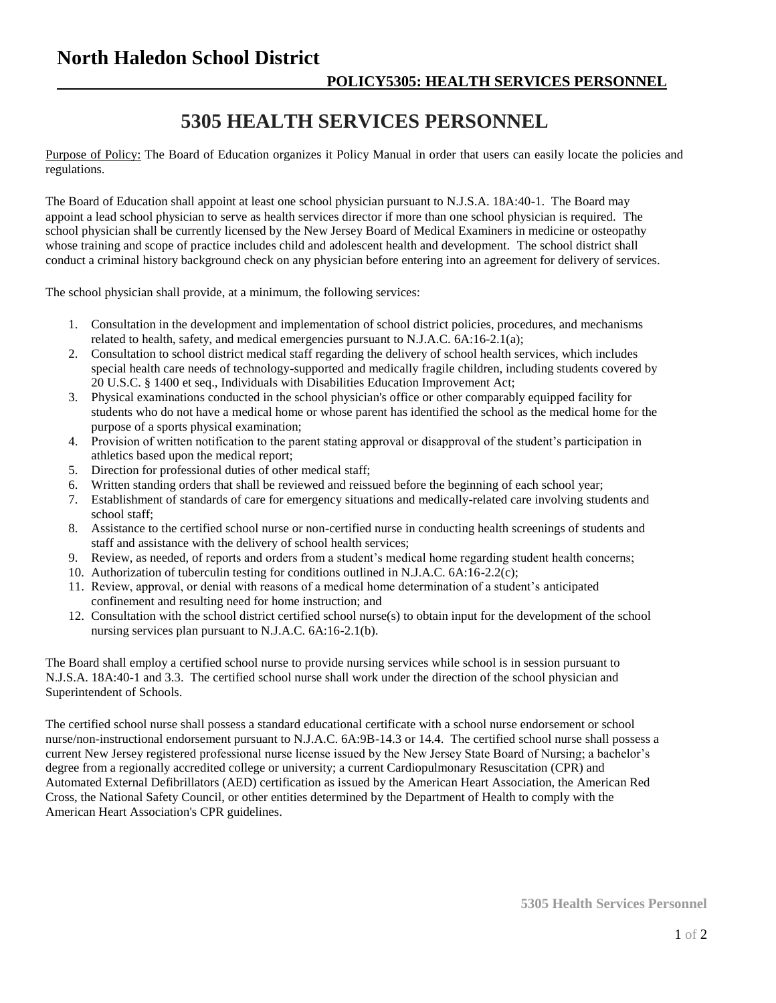## **North Haledon School District**

## **5305 HEALTH SERVICES PERSONNEL**

Purpose of Policy: The Board of Education organizes it Policy Manual in order that users can easily locate the policies and regulations.

The Board of Education shall appoint at least one school physician pursuant to N.J.S.A. 18A:40-1. The Board may appoint a lead school physician to serve as health services director if more than one school physician is required. The school physician shall be currently licensed by the New Jersey Board of Medical Examiners in medicine or osteopathy whose training and scope of practice includes child and adolescent health and development. The school district shall conduct a criminal history background check on any physician before entering into an agreement for delivery of services.

The school physician shall provide, at a minimum, the following services:

- 1. Consultation in the development and implementation of school district policies, procedures, and mechanisms related to health, safety, and medical emergencies pursuant to N.J.A.C. 6A:16-2.1(a);
- 2. Consultation to school district medical staff regarding the delivery of school health services, which includes special health care needs of technology-supported and medically fragile children, including students covered by 20 U.S.C. § 1400 et seq., Individuals with Disabilities Education Improvement Act;
- 3. Physical examinations conducted in the school physician's office or other comparably equipped facility for students who do not have a medical home or whose parent has identified the school as the medical home for the purpose of a sports physical examination;
- 4. Provision of written notification to the parent stating approval or disapproval of the student's participation in athletics based upon the medical report;
- 5. Direction for professional duties of other medical staff;
- 6. Written standing orders that shall be reviewed and reissued before the beginning of each school year;
- 7. Establishment of standards of care for emergency situations and medically-related care involving students and school staff;
- 8. Assistance to the certified school nurse or non-certified nurse in conducting health screenings of students and staff and assistance with the delivery of school health services;
- 9. Review, as needed, of reports and orders from a student's medical home regarding student health concerns;
- 10. Authorization of tuberculin testing for conditions outlined in N.J.A.C. 6A:16-2.2(c);
- 11. Review, approval, or denial with reasons of a medical home determination of a student's anticipated confinement and resulting need for home instruction; and
- 12. Consultation with the school district certified school nurse(s) to obtain input for the development of the school nursing services plan pursuant to N.J.A.C. 6A:16-2.1(b).

The Board shall employ a certified school nurse to provide nursing services while school is in session pursuant to N.J.S.A. 18A:40-1 and 3.3. The certified school nurse shall work under the direction of the school physician and Superintendent of Schools.

The certified school nurse shall possess a standard educational certificate with a school nurse endorsement or school nurse/non-instructional endorsement pursuant to N.J.A.C. 6A:9B-14.3 or 14.4. The certified school nurse shall possess a current New Jersey registered professional nurse license issued by the New Jersey State Board of Nursing; a bachelor's degree from a regionally accredited college or university; a current Cardiopulmonary Resuscitation (CPR) and Automated External Defibrillators (AED) certification as issued by the American Heart Association, the American Red Cross, the National Safety Council, or other entities determined by the Department of Health to comply with the American Heart Association's CPR guidelines.